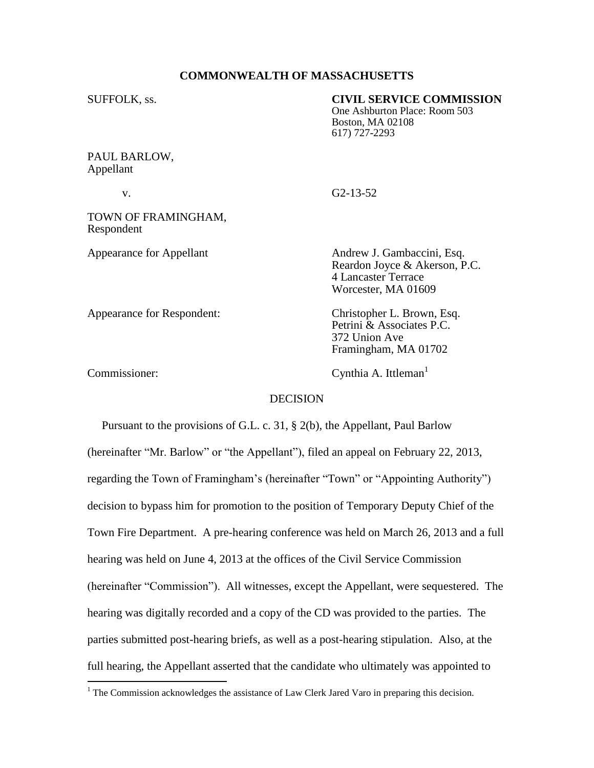## **COMMONWEALTH OF MASSACHUSETTS**

## SUFFOLK, ss. **CIVIL SERVICE COMMISSION**

One Ashburton Place: Room 503 Boston, MA 02108 617) 727-2293

## PAUL BARLOW, Appellant

v. G2-13-52

TOWN OF FRAMINGHAM, Respondent

 $\overline{a}$ 

Appearance for Appellant Andrew J. Gambaccini, Esq. Reardon Joyce & Akerson, P.C. 4 Lancaster Terrace Worcester, MA 01609

Appearance for Respondent: Christopher L. Brown, Esq. Petrini & Associates P.C. 372 Union Ave Framingham, MA 01702

Commissioner: Cynthia A. Ittleman<sup>1</sup>

### **DECISION**

 Pursuant to the provisions of G.L. c. 31, § 2(b), the Appellant, Paul Barlow (hereinafter "Mr. Barlow" or "the Appellant"), filed an appeal on February 22, 2013, regarding the Town of Framingham's (hereinafter "Town" or "Appointing Authority") decision to bypass him for promotion to the position of Temporary Deputy Chief of the Town Fire Department. A pre-hearing conference was held on March 26, 2013 and a full hearing was held on June 4, 2013 at the offices of the Civil Service Commission (hereinafter "Commission"). All witnesses, except the Appellant, were sequestered. The hearing was digitally recorded and a copy of the CD was provided to the parties. The parties submitted post-hearing briefs, as well as a post-hearing stipulation. Also, at the full hearing, the Appellant asserted that the candidate who ultimately was appointed to

<sup>&</sup>lt;sup>1</sup> The Commission acknowledges the assistance of Law Clerk Jared Varo in preparing this decision.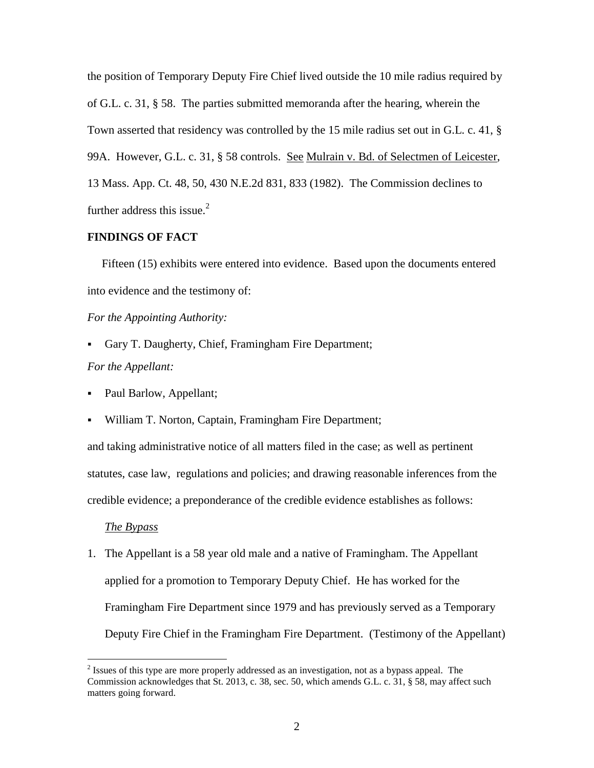the position of Temporary Deputy Fire Chief lived outside the 10 mile radius required by of G.L. c. 31, § 58. The parties submitted memoranda after the hearing, wherein the Town asserted that residency was controlled by the 15 mile radius set out in G.L. c. 41, § 99A. However, G.L. c. 31, § 58 controls. See Mulrain v. Bd. of Selectmen of Leicester, 13 Mass. App. Ct. 48, 50, 430 N.E.2d 831, 833 (1982). The Commission declines to further address this issue.<sup>2</sup>

## **FINDINGS OF FACT**

 Fifteen (15) exhibits were entered into evidence. Based upon the documents entered into evidence and the testimony of:

## *For the Appointing Authority:*

- Gary T. Daugherty, Chief, Framingham Fire Department; *For the Appellant:*
- Paul Barlow, Appellant;
- William T. Norton, Captain, Framingham Fire Department;

and taking administrative notice of all matters filed in the case; as well as pertinent statutes, case law, regulations and policies; and drawing reasonable inferences from the credible evidence; a preponderance of the credible evidence establishes as follows:

### *The Bypass*

 $\overline{a}$ 

1. The Appellant is a 58 year old male and a native of Framingham. The Appellant applied for a promotion to Temporary Deputy Chief. He has worked for the Framingham Fire Department since 1979 and has previously served as a Temporary Deputy Fire Chief in the Framingham Fire Department. (Testimony of the Appellant)

 $2^{2}$  Issues of this type are more properly addressed as an investigation, not as a bypass appeal. The Commission acknowledges that St. 2013, c. 38, sec. 50, which amends G.L. c. 31, § 58, may affect such matters going forward.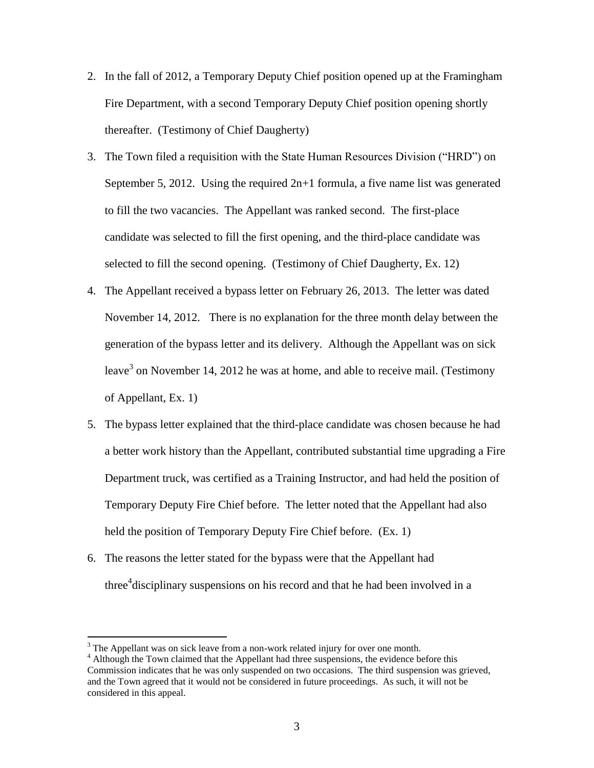- 2. In the fall of 2012, a Temporary Deputy Chief position opened up at the Framingham Fire Department, with a second Temporary Deputy Chief position opening shortly thereafter. (Testimony of Chief Daugherty)
- 3. The Town filed a requisition with the State Human Resources Division ("HRD") on September 5, 2012. Using the required  $2n+1$  formula, a five name list was generated to fill the two vacancies. The Appellant was ranked second. The first-place candidate was selected to fill the first opening, and the third-place candidate was selected to fill the second opening. (Testimony of Chief Daugherty, Ex. 12)
- 4. The Appellant received a bypass letter on February 26, 2013. The letter was dated November 14, 2012. There is no explanation for the three month delay between the generation of the bypass letter and its delivery. Although the Appellant was on sick leave<sup>3</sup> on November 14, 2012 he was at home, and able to receive mail. (Testimony of Appellant, Ex. 1)
- 5. The bypass letter explained that the third-place candidate was chosen because he had a better work history than the Appellant, contributed substantial time upgrading a Fire Department truck, was certified as a Training Instructor, and had held the position of Temporary Deputy Fire Chief before. The letter noted that the Appellant had also held the position of Temporary Deputy Fire Chief before. (Ex. 1)
- 6. The reasons the letter stated for the bypass were that the Appellant had three<sup>4</sup> disciplinary suspensions on his record and that he had been involved in a

 $3$  The Appellant was on sick leave from a non-work related injury for over one month.

<sup>&</sup>lt;sup>4</sup> Although the Town claimed that the Appellant had three suspensions, the evidence before this Commission indicates that he was only suspended on two occasions. The third suspension was grieved, and the Town agreed that it would not be considered in future proceedings. As such, it will not be considered in this appeal.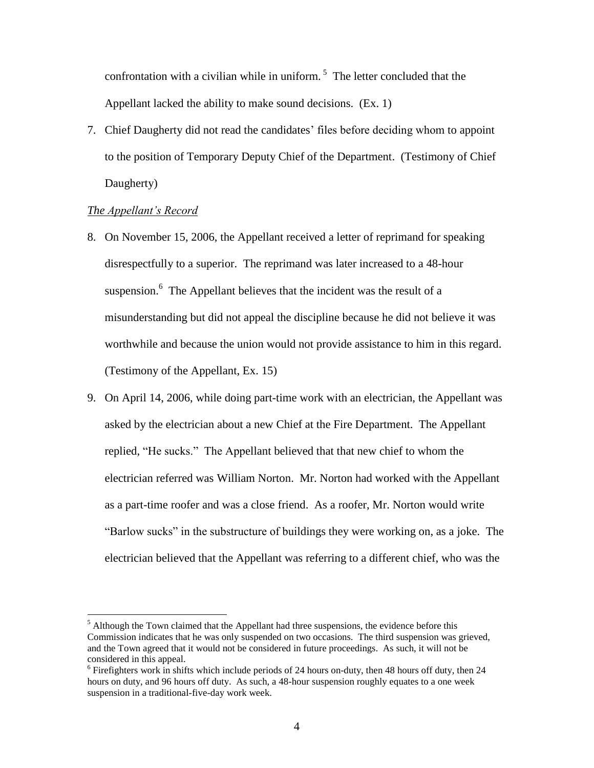confrontation with a civilian while in uniform.<sup>5</sup> The letter concluded that the Appellant lacked the ability to make sound decisions. (Ex. 1)

7. Chief Daugherty did not read the candidates' files before deciding whom to appoint to the position of Temporary Deputy Chief of the Department. (Testimony of Chief Daugherty)

## *The Appellant's Record*

- 8. On November 15, 2006, the Appellant received a letter of reprimand for speaking disrespectfully to a superior. The reprimand was later increased to a 48-hour suspension. $6$  The Appellant believes that the incident was the result of a misunderstanding but did not appeal the discipline because he did not believe it was worthwhile and because the union would not provide assistance to him in this regard. (Testimony of the Appellant, Ex. 15)
- 9. On April 14, 2006, while doing part-time work with an electrician, the Appellant was asked by the electrician about a new Chief at the Fire Department. The Appellant replied, "He sucks." The Appellant believed that that new chief to whom the electrician referred was William Norton. Mr. Norton had worked with the Appellant as a part-time roofer and was a close friend. As a roofer, Mr. Norton would write "Barlow sucks" in the substructure of buildings they were working on, as a joke. The electrician believed that the Appellant was referring to a different chief, who was the

 $<sup>5</sup>$  Although the Town claimed that the Appellant had three suspensions, the evidence before this</sup> Commission indicates that he was only suspended on two occasions. The third suspension was grieved, and the Town agreed that it would not be considered in future proceedings. As such, it will not be considered in this appeal.

 $6$  Firefighters work in shifts which include periods of 24 hours on-duty, then 48 hours off duty, then 24 hours on duty, and 96 hours off duty. As such, a 48-hour suspension roughly equates to a one week suspension in a traditional-five-day work week.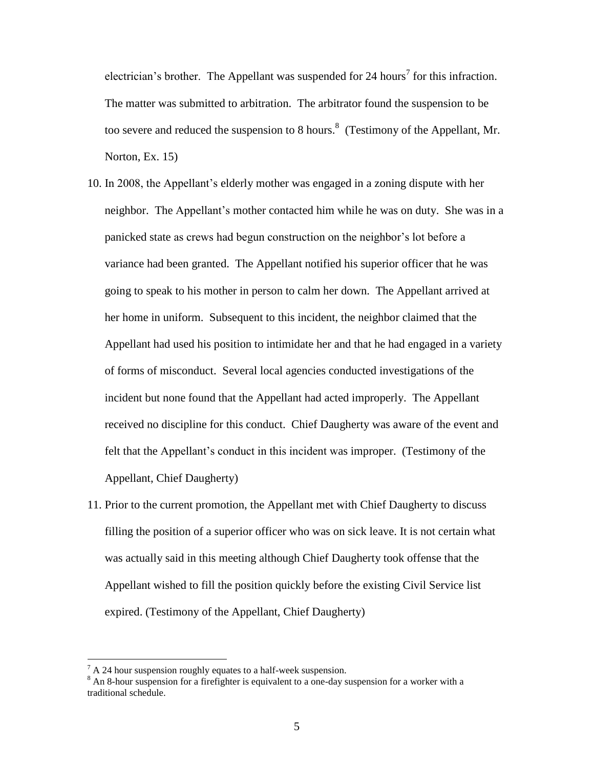electrician's brother. The Appellant was suspended for 24 hours<sup>7</sup> for this infraction. The matter was submitted to arbitration. The arbitrator found the suspension to be too severe and reduced the suspension to 8 hours.<sup>8</sup> (Testimony of the Appellant, Mr. Norton, Ex. 15)

- 10. In 2008, the Appellant's elderly mother was engaged in a zoning dispute with her neighbor. The Appellant's mother contacted him while he was on duty. She was in a panicked state as crews had begun construction on the neighbor's lot before a variance had been granted. The Appellant notified his superior officer that he was going to speak to his mother in person to calm her down. The Appellant arrived at her home in uniform. Subsequent to this incident, the neighbor claimed that the Appellant had used his position to intimidate her and that he had engaged in a variety of forms of misconduct. Several local agencies conducted investigations of the incident but none found that the Appellant had acted improperly. The Appellant received no discipline for this conduct. Chief Daugherty was aware of the event and felt that the Appellant's conduct in this incident was improper. (Testimony of the Appellant, Chief Daugherty)
- 11. Prior to the current promotion, the Appellant met with Chief Daugherty to discuss filling the position of a superior officer who was on sick leave. It is not certain what was actually said in this meeting although Chief Daugherty took offense that the Appellant wished to fill the position quickly before the existing Civil Service list expired. (Testimony of the Appellant, Chief Daugherty)

 $7 A 24$  hour suspension roughly equates to a half-week suspension.

 $8$  An 8-hour suspension for a firefighter is equivalent to a one-day suspension for a worker with a traditional schedule.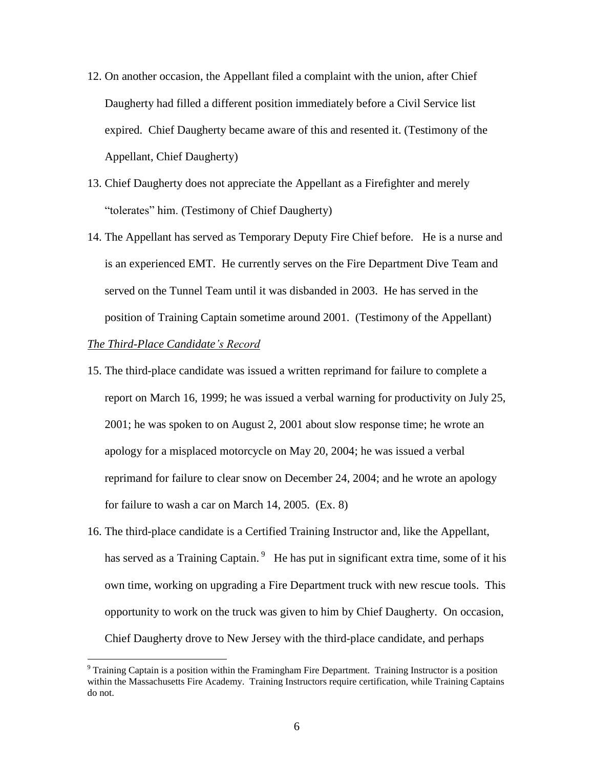- 12. On another occasion, the Appellant filed a complaint with the union, after Chief Daugherty had filled a different position immediately before a Civil Service list expired. Chief Daugherty became aware of this and resented it. (Testimony of the Appellant, Chief Daugherty)
- 13. Chief Daugherty does not appreciate the Appellant as a Firefighter and merely "tolerates" him. (Testimony of Chief Daugherty)
- 14. The Appellant has served as Temporary Deputy Fire Chief before. He is a nurse and is an experienced EMT. He currently serves on the Fire Department Dive Team and served on the Tunnel Team until it was disbanded in 2003. He has served in the position of Training Captain sometime around 2001. (Testimony of the Appellant)

## *The Third-Place Candidate's Record*

- 15. The third-place candidate was issued a written reprimand for failure to complete a report on March 16, 1999; he was issued a verbal warning for productivity on July 25, 2001; he was spoken to on August 2, 2001 about slow response time; he wrote an apology for a misplaced motorcycle on May 20, 2004; he was issued a verbal reprimand for failure to clear snow on December 24, 2004; and he wrote an apology for failure to wash a car on March 14, 2005. (Ex. 8)
- 16. The third-place candidate is a Certified Training Instructor and, like the Appellant, has served as a Training Captain.<sup>9</sup> He has put in significant extra time, some of it his own time, working on upgrading a Fire Department truck with new rescue tools. This opportunity to work on the truck was given to him by Chief Daugherty. On occasion, Chief Daugherty drove to New Jersey with the third-place candidate, and perhaps

<sup>&</sup>lt;sup>9</sup> Training Captain is a position within the Framingham Fire Department. Training Instructor is a position within the Massachusetts Fire Academy. Training Instructors require certification, while Training Captains do not.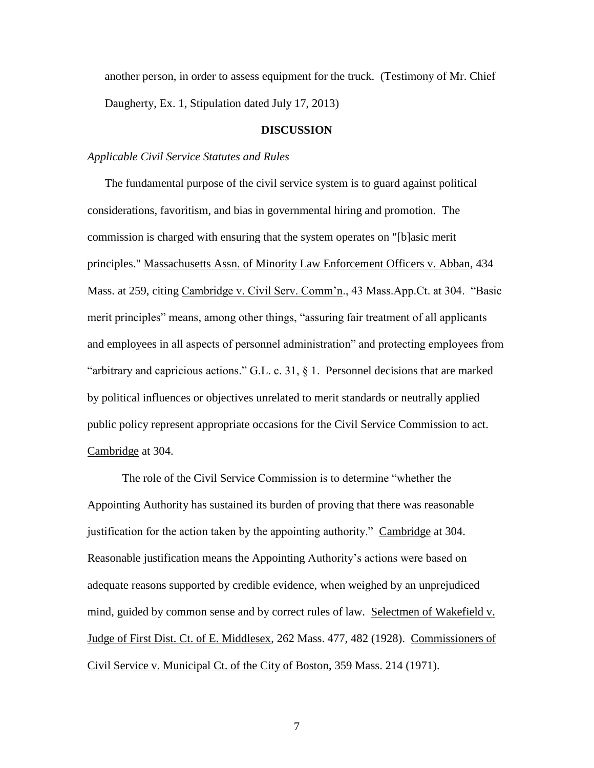another person, in order to assess equipment for the truck. (Testimony of Mr. Chief Daugherty, Ex. 1, Stipulation dated July 17, 2013)

## **DISCUSSION**

## *Applicable Civil Service Statutes and Rules*

 The fundamental purpose of the civil service system is to guard against political considerations, favoritism, and bias in governmental hiring and promotion. The commission is charged with ensuring that the system operates on "[b]asic merit principles." Massachusetts Assn. of Minority Law Enforcement Officers v. Abban, 434 Mass. at 259, citing Cambridge v. Civil Serv. Comm'n., 43 Mass.App.Ct. at 304. "Basic merit principles" means, among other things, "assuring fair treatment of all applicants and employees in all aspects of personnel administration" and protecting employees from "arbitrary and capricious actions." G.L. c. 31, § 1. Personnel decisions that are marked by political influences or objectives unrelated to merit standards or neutrally applied public policy represent appropriate occasions for the Civil Service Commission to act. Cambridge at 304.

The role of the Civil Service Commission is to determine "whether the Appointing Authority has sustained its burden of proving that there was reasonable justification for the action taken by the appointing authority." Cambridge at 304. Reasonable justification means the Appointing Authority's actions were based on adequate reasons supported by credible evidence, when weighed by an unprejudiced mind, guided by common sense and by correct rules of law. Selectmen of Wakefield v. Judge of First Dist. Ct. of E. Middlesex, 262 Mass. 477, 482 (1928). Commissioners of Civil Service v. Municipal Ct. of the City of Boston, 359 Mass. 214 (1971).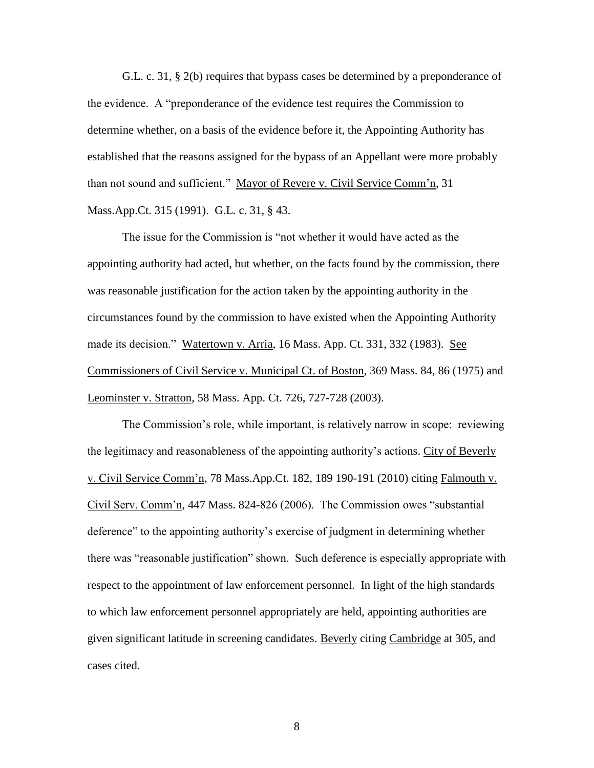G.L. c. 31, § 2(b) requires that bypass cases be determined by a preponderance of the evidence. A "preponderance of the evidence test requires the Commission to determine whether, on a basis of the evidence before it, the Appointing Authority has established that the reasons assigned for the bypass of an Appellant were more probably than not sound and sufficient." Mayor of Revere v. Civil Service Comm'n, 31 Mass.App.Ct. 315 (1991). G.L. c. 31, § 43.

The issue for the Commission is "not whether it would have acted as the appointing authority had acted, but whether, on the facts found by the commission, there was reasonable justification for the action taken by the appointing authority in the circumstances found by the commission to have existed when the Appointing Authority made its decision." Watertown v. Arria, 16 Mass. App. Ct. 331, 332 (1983). See Commissioners of Civil Service v. Municipal Ct. of Boston, 369 Mass. 84, 86 (1975) and Leominster v. Stratton, 58 Mass. App. Ct. 726, 727-728 (2003).

The Commission's role, while important, is relatively narrow in scope: reviewing the legitimacy and reasonableness of the appointing authority's actions. City of Beverly v. Civil Service Comm'n, 78 Mass.App.Ct. 182, 189 190-191 (2010) citing Falmouth v. Civil Serv. Comm'n, 447 Mass. 824-826 (2006). The Commission owes "substantial deference" to the appointing authority's exercise of judgment in determining whether there was "reasonable justification" shown. Such deference is especially appropriate with respect to the appointment of law enforcement personnel. In light of the high standards to which law enforcement personnel appropriately are held, appointing authorities are given significant latitude in screening candidates. Beverly citing Cambridge at 305, and cases cited.

8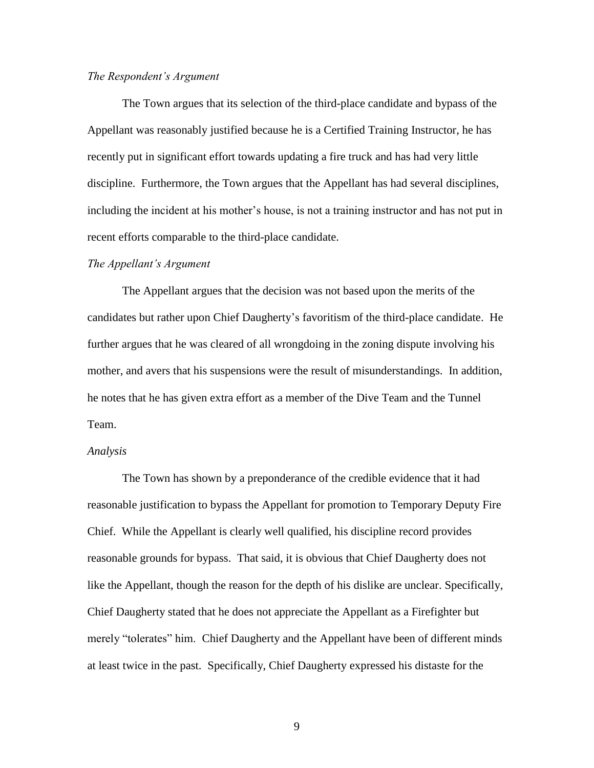#### *The Respondent's Argument*

The Town argues that its selection of the third-place candidate and bypass of the Appellant was reasonably justified because he is a Certified Training Instructor, he has recently put in significant effort towards updating a fire truck and has had very little discipline. Furthermore, the Town argues that the Appellant has had several disciplines, including the incident at his mother's house, is not a training instructor and has not put in recent efforts comparable to the third-place candidate.

#### *The Appellant's Argument*

The Appellant argues that the decision was not based upon the merits of the candidates but rather upon Chief Daugherty's favoritism of the third-place candidate. He further argues that he was cleared of all wrongdoing in the zoning dispute involving his mother, and avers that his suspensions were the result of misunderstandings. In addition, he notes that he has given extra effort as a member of the Dive Team and the Tunnel Team.

## *Analysis*

The Town has shown by a preponderance of the credible evidence that it had reasonable justification to bypass the Appellant for promotion to Temporary Deputy Fire Chief. While the Appellant is clearly well qualified, his discipline record provides reasonable grounds for bypass. That said, it is obvious that Chief Daugherty does not like the Appellant, though the reason for the depth of his dislike are unclear. Specifically, Chief Daugherty stated that he does not appreciate the Appellant as a Firefighter but merely "tolerates" him. Chief Daugherty and the Appellant have been of different minds at least twice in the past. Specifically, Chief Daugherty expressed his distaste for the

9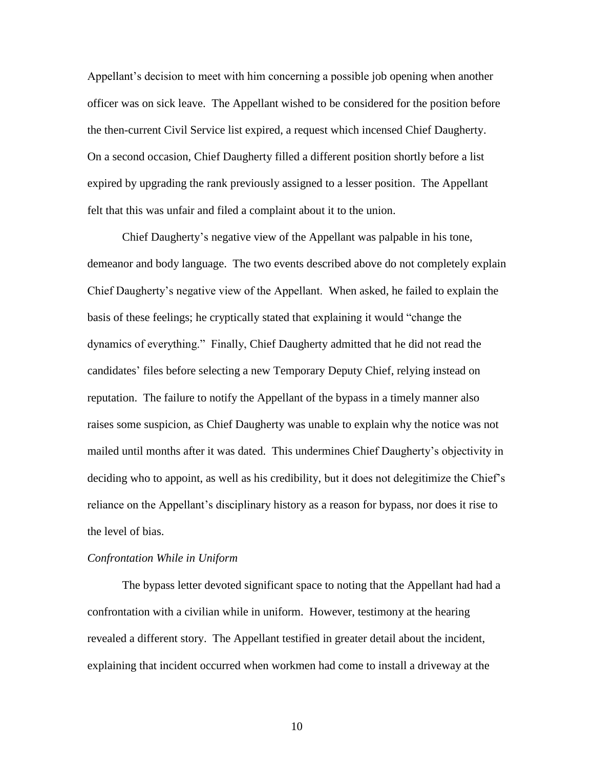Appellant's decision to meet with him concerning a possible job opening when another officer was on sick leave. The Appellant wished to be considered for the position before the then-current Civil Service list expired, a request which incensed Chief Daugherty. On a second occasion, Chief Daugherty filled a different position shortly before a list expired by upgrading the rank previously assigned to a lesser position. The Appellant felt that this was unfair and filed a complaint about it to the union.

Chief Daugherty's negative view of the Appellant was palpable in his tone, demeanor and body language. The two events described above do not completely explain Chief Daugherty's negative view of the Appellant. When asked, he failed to explain the basis of these feelings; he cryptically stated that explaining it would "change the dynamics of everything." Finally, Chief Daugherty admitted that he did not read the candidates' files before selecting a new Temporary Deputy Chief, relying instead on reputation. The failure to notify the Appellant of the bypass in a timely manner also raises some suspicion, as Chief Daugherty was unable to explain why the notice was not mailed until months after it was dated. This undermines Chief Daugherty's objectivity in deciding who to appoint, as well as his credibility, but it does not delegitimize the Chief's reliance on the Appellant's disciplinary history as a reason for bypass, nor does it rise to the level of bias.

#### *Confrontation While in Uniform*

The bypass letter devoted significant space to noting that the Appellant had had a confrontation with a civilian while in uniform. However, testimony at the hearing revealed a different story. The Appellant testified in greater detail about the incident, explaining that incident occurred when workmen had come to install a driveway at the

10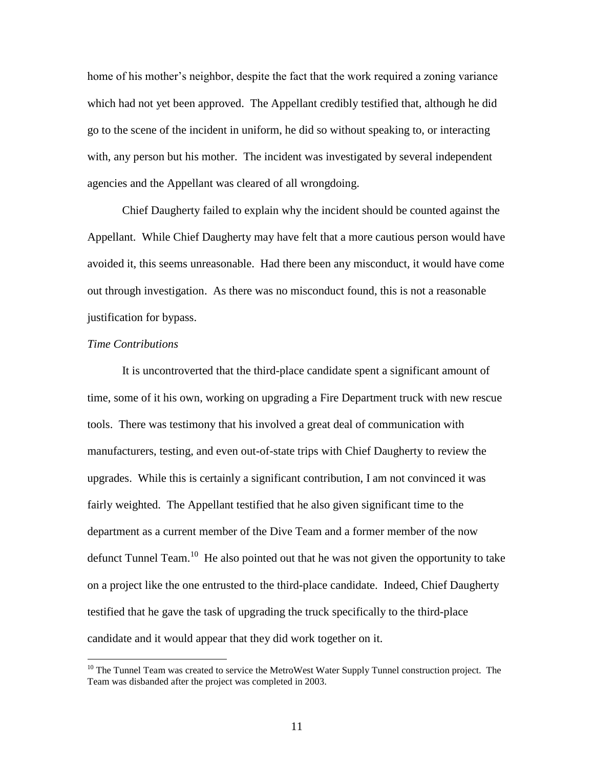home of his mother's neighbor, despite the fact that the work required a zoning variance which had not yet been approved. The Appellant credibly testified that, although he did go to the scene of the incident in uniform, he did so without speaking to, or interacting with, any person but his mother. The incident was investigated by several independent agencies and the Appellant was cleared of all wrongdoing.

Chief Daugherty failed to explain why the incident should be counted against the Appellant. While Chief Daugherty may have felt that a more cautious person would have avoided it, this seems unreasonable. Had there been any misconduct, it would have come out through investigation. As there was no misconduct found, this is not a reasonable justification for bypass.

### *Time Contributions*

 $\overline{a}$ 

It is uncontroverted that the third-place candidate spent a significant amount of time, some of it his own, working on upgrading a Fire Department truck with new rescue tools. There was testimony that his involved a great deal of communication with manufacturers, testing, and even out-of-state trips with Chief Daugherty to review the upgrades. While this is certainly a significant contribution, I am not convinced it was fairly weighted. The Appellant testified that he also given significant time to the department as a current member of the Dive Team and a former member of the now defunct Tunnel Team.<sup>10</sup> He also pointed out that he was not given the opportunity to take on a project like the one entrusted to the third-place candidate. Indeed, Chief Daugherty testified that he gave the task of upgrading the truck specifically to the third-place candidate and it would appear that they did work together on it.

<sup>&</sup>lt;sup>10</sup> The Tunnel Team was created to service the MetroWest Water Supply Tunnel construction project. The Team was disbanded after the project was completed in 2003.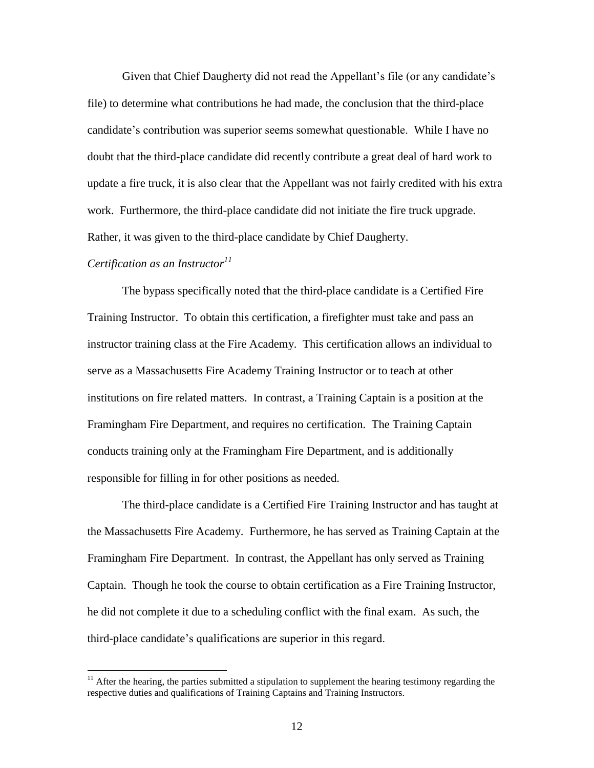Given that Chief Daugherty did not read the Appellant's file (or any candidate's file) to determine what contributions he had made, the conclusion that the third-place candidate's contribution was superior seems somewhat questionable. While I have no doubt that the third-place candidate did recently contribute a great deal of hard work to update a fire truck, it is also clear that the Appellant was not fairly credited with his extra work. Furthermore, the third-place candidate did not initiate the fire truck upgrade. Rather, it was given to the third-place candidate by Chief Daugherty.

### *Certification as an Instructor<sup>11</sup>*

 $\overline{a}$ 

The bypass specifically noted that the third-place candidate is a Certified Fire Training Instructor. To obtain this certification, a firefighter must take and pass an instructor training class at the Fire Academy. This certification allows an individual to serve as a Massachusetts Fire Academy Training Instructor or to teach at other institutions on fire related matters. In contrast, a Training Captain is a position at the Framingham Fire Department, and requires no certification. The Training Captain conducts training only at the Framingham Fire Department, and is additionally responsible for filling in for other positions as needed.

The third-place candidate is a Certified Fire Training Instructor and has taught at the Massachusetts Fire Academy. Furthermore, he has served as Training Captain at the Framingham Fire Department. In contrast, the Appellant has only served as Training Captain. Though he took the course to obtain certification as a Fire Training Instructor, he did not complete it due to a scheduling conflict with the final exam. As such, the third-place candidate's qualifications are superior in this regard.

 $11$  After the hearing, the parties submitted a stipulation to supplement the hearing testimony regarding the respective duties and qualifications of Training Captains and Training Instructors.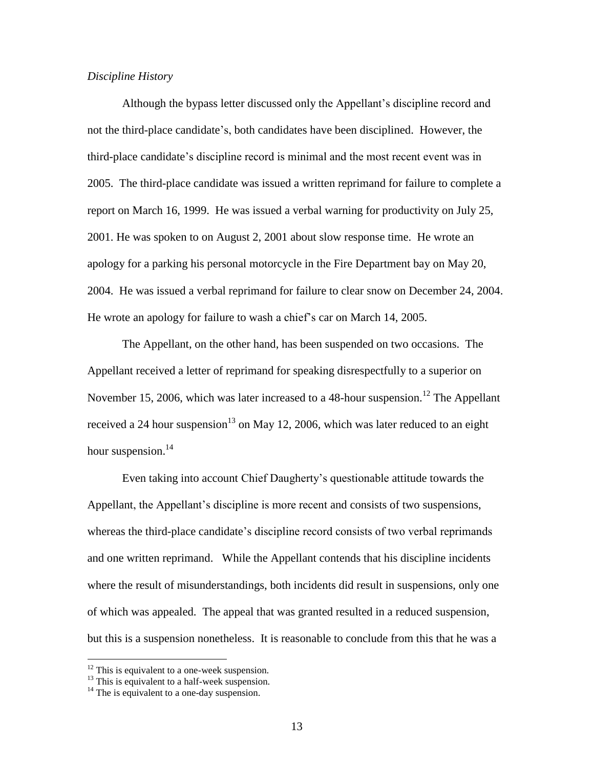## *Discipline History*

Although the bypass letter discussed only the Appellant's discipline record and not the third-place candidate's, both candidates have been disciplined. However, the third-place candidate's discipline record is minimal and the most recent event was in 2005. The third-place candidate was issued a written reprimand for failure to complete a report on March 16, 1999. He was issued a verbal warning for productivity on July 25, 2001. He was spoken to on August 2, 2001 about slow response time. He wrote an apology for a parking his personal motorcycle in the Fire Department bay on May 20, 2004. He was issued a verbal reprimand for failure to clear snow on December 24, 2004. He wrote an apology for failure to wash a chief's car on March 14, 2005.

The Appellant, on the other hand, has been suspended on two occasions. The Appellant received a letter of reprimand for speaking disrespectfully to a superior on November 15, 2006, which was later increased to a 48-hour suspension.<sup>12</sup> The Appellant received a 24 hour suspension<sup>13</sup> on May 12, 2006, which was later reduced to an eight hour suspension.<sup>14</sup>

Even taking into account Chief Daugherty's questionable attitude towards the Appellant, the Appellant's discipline is more recent and consists of two suspensions, whereas the third-place candidate's discipline record consists of two verbal reprimands and one written reprimand. While the Appellant contends that his discipline incidents where the result of misunderstandings, both incidents did result in suspensions, only one of which was appealed. The appeal that was granted resulted in a reduced suspension, but this is a suspension nonetheless. It is reasonable to conclude from this that he was a

 $12$  This is equivalent to a one-week suspension.

 $13$  This is equivalent to a half-week suspension.

 $14$  The is equivalent to a one-day suspension.